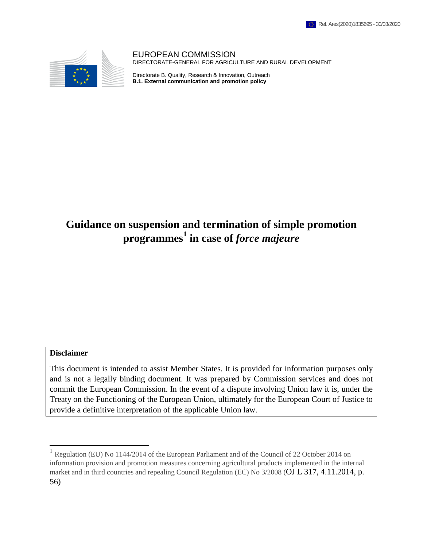

EUROPEAN COMMISSION DIRECTORATE-GENERAL FOR AGRICULTURE AND RURAL DEVELOPMENT

Directorate B. Quality, Research & Innovation, Outreach **B.1. External communication and promotion policy**

# **Guidance on suspension and termination of simple promotion programmes 1 in case of** *force majeure*

#### **Disclaimer**

l

This document is intended to assist Member States. It is provided for information purposes only and is not a legally binding document. It was prepared by Commission services and does not commit the European Commission. In the event of a dispute involving Union law it is, under the Treaty on the Functioning of the European Union, ultimately for the European Court of Justice to provide a definitive interpretation of the applicable Union law.

<sup>&</sup>lt;sup>1</sup> Regulation (EU) No 1144/2014 of the European Parliament and of the Council of 22 October 2014 on information provision and promotion measures concerning agricultural products implemented in the internal market and in third countries and repealing Council Regulation (EC) No 3/2008 (OJ L 317, 4.11.2014, p. 56)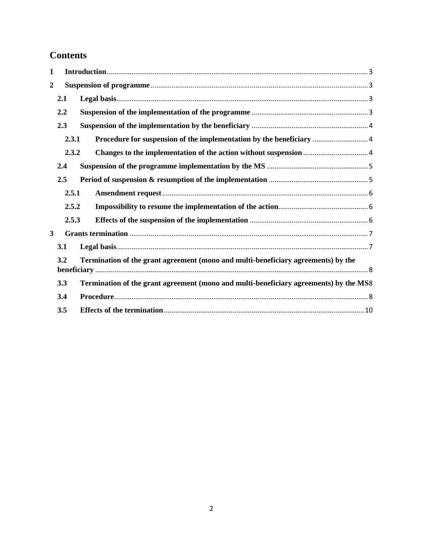# **Contents**

| $\mathbf{1}$     |       |                                                                                       |  |
|------------------|-------|---------------------------------------------------------------------------------------|--|
| $\boldsymbol{2}$ |       |                                                                                       |  |
|                  | 2.1   |                                                                                       |  |
|                  | 2.2   |                                                                                       |  |
|                  | 2.3   |                                                                                       |  |
|                  | 2.3.1 |                                                                                       |  |
|                  | 2.3.2 |                                                                                       |  |
|                  | 2.4   |                                                                                       |  |
|                  | 2.5   |                                                                                       |  |
|                  | 2.5.1 |                                                                                       |  |
|                  | 2.5.2 |                                                                                       |  |
|                  | 2.5.3 |                                                                                       |  |
| $\mathbf{3}$     |       |                                                                                       |  |
|                  | 3.1   |                                                                                       |  |
|                  | 3.2   | Termination of the grant agreement (mono and multi-beneficiary agreements) by the     |  |
| 3.3              |       | Termination of the grant agreement (mono and multi-beneficiary agreements) by the MS8 |  |
|                  | 3.4   |                                                                                       |  |
|                  | 3.5   |                                                                                       |  |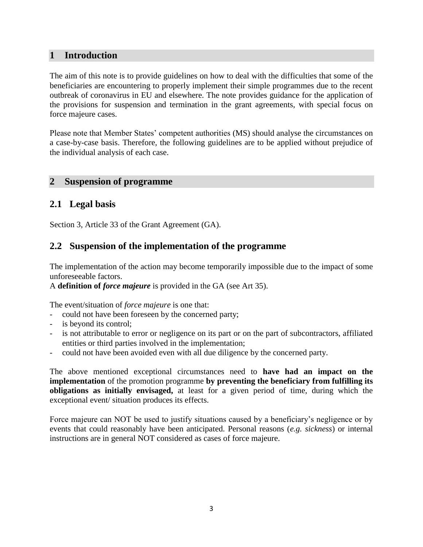### <span id="page-2-0"></span>**1 Introduction**

The aim of this note is to provide guidelines on how to deal with the difficulties that some of the beneficiaries are encountering to properly implement their simple programmes due to the recent outbreak of coronavirus in EU and elsewhere. The note provides guidance for the application of the provisions for suspension and termination in the grant agreements, with special focus on force majeure cases.

Please note that Member States' competent authorities (MS) should analyse the circumstances on a case-by-case basis. Therefore, the following guidelines are to be applied without prejudice of the individual analysis of each case.

### <span id="page-2-1"></span>**2 Suspension of programme**

# <span id="page-2-2"></span>**2.1 Legal basis**

Section 3, Article 33 of the Grant Agreement (GA).

## <span id="page-2-3"></span>**2.2 Suspension of the implementation of the programme**

The implementation of the action may become temporarily impossible due to the impact of some unforeseeable factors.

A **definition of** *force majeure* is provided in the GA (see Art 35).

The event/situation of *force majeure* is one that:

- could not have been foreseen by the concerned party;
- is beyond its control;
- is not attributable to error or negligence on its part or on the part of subcontractors, affiliated entities or third parties involved in the implementation;
- could not have been avoided even with all due diligence by the concerned party.

The above mentioned exceptional circumstances need to **have had an impact on the implementation** of the promotion programme **by preventing the beneficiary from fulfilling its obligations as initially envisaged,** at least for a given period of time, during which the exceptional event/ situation produces its effects.

Force majeure can NOT be used to justify situations caused by a beneficiary's negligence or by events that could reasonably have been anticipated. Personal reasons (*e.g. sickness*) or internal instructions are in general NOT considered as cases of force majeure.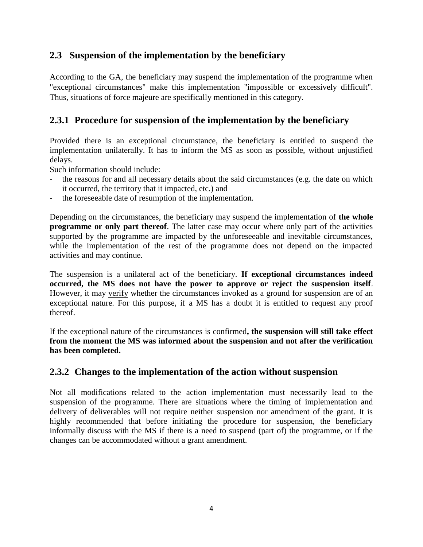# <span id="page-3-0"></span>**2.3 Suspension of the implementation by the beneficiary**

According to the GA, the beneficiary may suspend the implementation of the programme when "exceptional circumstances" make this implementation "impossible or excessively difficult". Thus, situations of force majeure are specifically mentioned in this category.

# <span id="page-3-1"></span>**2.3.1 Procedure for suspension of the implementation by the beneficiary**

Provided there is an exceptional circumstance, the beneficiary is entitled to suspend the implementation unilaterally. It has to inform the MS as soon as possible, without unjustified delays.

Such information should include:

- the reasons for and all necessary details about the said circumstances (e.g. the date on which it occurred, the territory that it impacted, etc.) and
- the foreseeable date of resumption of the implementation.

Depending on the circumstances, the beneficiary may suspend the implementation of **the whole programme or only part thereof.** The latter case may occur where only part of the activities supported by the programme are impacted by the unforeseeable and inevitable circumstances, while the implementation of the rest of the programme does not depend on the impacted activities and may continue.

The suspension is a unilateral act of the beneficiary. **If exceptional circumstances indeed occurred, the MS does not have the power to approve or reject the suspension itself**. However, it may verify whether the circumstances invoked as a ground for suspension are of an exceptional nature. For this purpose, if a MS has a doubt it is entitled to request any proof thereof.

If the exceptional nature of the circumstances is confirmed**, the suspension will still take effect from the moment the MS was informed about the suspension and not after the verification has been completed.**

## <span id="page-3-2"></span>**2.3.2 Changes to the implementation of the action without suspension**

Not all modifications related to the action implementation must necessarily lead to the suspension of the programme. There are situations where the timing of implementation and delivery of deliverables will not require neither suspension nor amendment of the grant. It is highly recommended that before initiating the procedure for suspension, the beneficiary informally discuss with the MS if there is a need to suspend (part of) the programme, or if the changes can be accommodated without a grant amendment.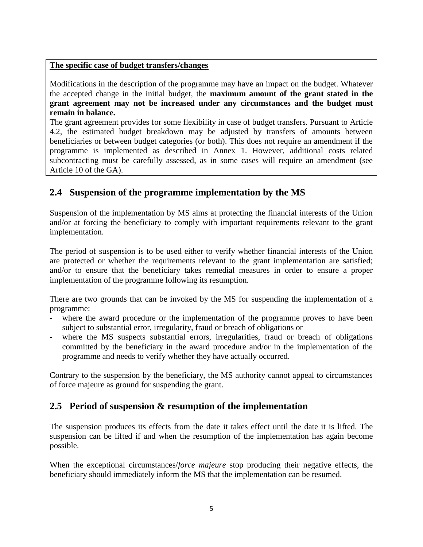#### **The specific case of budget transfers/changes**

Modifications in the description of the programme may have an impact on the budget. Whatever the accepted change in the initial budget, the **maximum amount of the grant stated in the grant agreement may not be increased under any circumstances and the budget must remain in balance.** 

The grant agreement provides for some flexibility in case of budget transfers. Pursuant to Article 4.2, the estimated budget breakdown may be adjusted by transfers of amounts between beneficiaries or between budget categories (or both). This does not require an amendment if the programme is implemented as described in Annex 1. However, additional costs related subcontracting must be carefully assessed, as in some cases will require an amendment (see Article 10 of the GA).

# <span id="page-4-0"></span>**2.4 Suspension of the programme implementation by the MS**

Suspension of the implementation by MS aims at protecting the financial interests of the Union and/or at forcing the beneficiary to comply with important requirements relevant to the grant implementation.

The period of suspension is to be used either to verify whether financial interests of the Union are protected or whether the requirements relevant to the grant implementation are satisfied; and/or to ensure that the beneficiary takes remedial measures in order to ensure a proper implementation of the programme following its resumption.

There are two grounds that can be invoked by the MS for suspending the implementation of a programme:

- where the award procedure or the implementation of the programme proves to have been subject to substantial error, irregularity, fraud or breach of obligations or
- where the MS suspects substantial errors, irregularities, fraud or breach of obligations committed by the beneficiary in the award procedure and/or in the implementation of the programme and needs to verify whether they have actually occurred.

Contrary to the suspension by the beneficiary, the MS authority cannot appeal to circumstances of force majeure as ground for suspending the grant.

# <span id="page-4-1"></span>**2.5 Period of suspension & resumption of the implementation**

The suspension produces its effects from the date it takes effect until the date it is lifted. The suspension can be lifted if and when the resumption of the implementation has again become possible.

When the exceptional circumstances/*force majeure* stop producing their negative effects, the beneficiary should immediately inform the MS that the implementation can be resumed.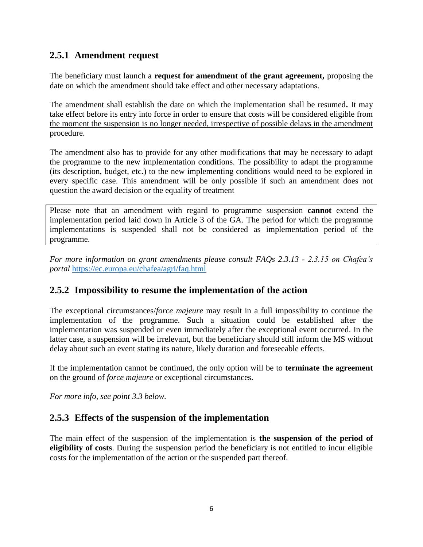# <span id="page-5-0"></span>**2.5.1 Amendment request**

The beneficiary must launch a **request for amendment of the grant agreement,** proposing the date on which the amendment should take effect and other necessary adaptations.

The amendment shall establish the date on which the implementation shall be resumed**.** It may take effect before its entry into force in order to ensure that costs will be considered eligible from the moment the suspension is no longer needed, irrespective of possible delays in the amendment procedure.

The amendment also has to provide for any other modifications that may be necessary to adapt the programme to the new implementation conditions. The possibility to adapt the programme (its description, budget, etc.) to the new implementing conditions would need to be explored in every specific case. This amendment will be only possible if such an amendment does not question the award decision or the equality of treatment

Please note that an amendment with regard to programme suspension **cannot** extend the implementation period laid down in Article 3 of the GA. The period for which the programme implementations is suspended shall not be considered as implementation period of the programme.

*For more information on grant amendments please consult FAQs 2.3.13 - 2.3.15 on Chafea's portal* <https://ec.europa.eu/chafea/agri/faq.html>

# <span id="page-5-1"></span>**2.5.2 Impossibility to resume the implementation of the action**

The exceptional circumstances/*force majeure* may result in a full impossibility to continue the implementation of the programme. Such a situation could be established after the implementation was suspended or even immediately after the exceptional event occurred. In the latter case, a suspension will be irrelevant, but the beneficiary should still inform the MS without delay about such an event stating its nature, likely duration and foreseeable effects.

If the implementation cannot be continued, the only option will be to **terminate the agreement** on the ground of *force majeure* or exceptional circumstances.

*For more info, see point 3.3 below.*

## <span id="page-5-2"></span>**2.5.3 Effects of the suspension of the implementation**

The main effect of the suspension of the implementation is **the suspension of the period of eligibility of costs**. During the suspension period the beneficiary is not entitled to incur eligible costs for the implementation of the action or the suspended part thereof.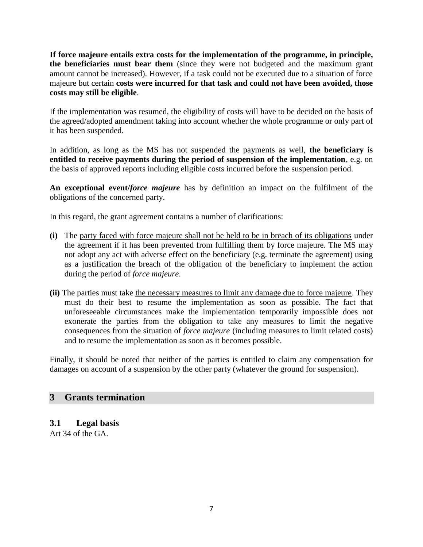**If force majeure entails extra costs for the implementation of the programme, in principle, the beneficiaries must bear them** (since they were not budgeted and the maximum grant amount cannot be increased). However, if a task could not be executed due to a situation of force majeure but certain **costs were incurred for that task and could not have been avoided, those costs may still be eligible**.

If the implementation was resumed, the eligibility of costs will have to be decided on the basis of the agreed/adopted amendment taking into account whether the whole programme or only part of it has been suspended.

In addition, as long as the MS has not suspended the payments as well, **the beneficiary is entitled to receive payments during the period of suspension of the implementation**, e.g. on the basis of approved reports including eligible costs incurred before the suspension period.

**An exceptional event/***force majeure* has by definition an impact on the fulfilment of the obligations of the concerned party.

In this regard, the grant agreement contains a number of clarifications:

- **(i)** The party faced with force majeure shall not be held to be in breach of its obligations under the agreement if it has been prevented from fulfilling them by force majeure. The MS may not adopt any act with adverse effect on the beneficiary (e.g. terminate the agreement) using as a justification the breach of the obligation of the beneficiary to implement the action during the period of *force majeure*.
- **(ii)** The parties must take the necessary measures to limit any damage due to force majeure. They must do their best to resume the implementation as soon as possible. The fact that unforeseeable circumstances make the implementation temporarily impossible does not exonerate the parties from the obligation to take any measures to limit the negative consequences from the situation of *force majeure* (including measures to limit related costs) and to resume the implementation as soon as it becomes possible.

Finally, it should be noted that neither of the parties is entitled to claim any compensation for damages on account of a suspension by the other party (whatever the ground for suspension).

#### <span id="page-6-0"></span>**3 Grants termination**

#### <span id="page-6-1"></span>**3.1 Legal basis**

Art 34 of the GA.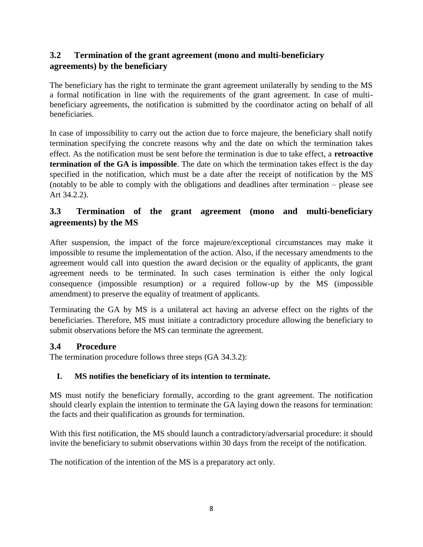# <span id="page-7-0"></span>**3.2 Termination of the grant agreement (mono and multi-beneficiary agreements) by the beneficiary**

The beneficiary has the right to terminate the grant agreement unilaterally by sending to the MS a formal notification in line with the requirements of the grant agreement. In case of multibeneficiary agreements, the notification is submitted by the coordinator acting on behalf of all beneficiaries.

In case of impossibility to carry out the action due to force majeure, the beneficiary shall notify termination specifying the concrete reasons why and the date on which the termination takes effect. As the notification must be sent before the termination is due to take effect, a **retroactive termination of the GA is impossible**. The date on which the termination takes effect is the day specified in the notification, which must be a date after the receipt of notification by the MS (notably to be able to comply with the obligations and deadlines after termination – please see Art 34.2.2).

# <span id="page-7-1"></span>**3.3 Termination of the grant agreement (mono and multi-beneficiary agreements) by the MS**

After suspension, the impact of the force majeure/exceptional circumstances may make it impossible to resume the implementation of the action. Also, if the necessary amendments to the agreement would call into question the award decision or the equality of applicants, the grant agreement needs to be terminated. In such cases termination is either the only logical consequence (impossible resumption) or a required follow-up by the MS (impossible amendment) to preserve the equality of treatment of applicants.

Terminating the GA by MS is a unilateral act having an adverse effect on the rights of the beneficiaries. Therefore, MS must initiate a contradictory procedure allowing the beneficiary to submit observations before the MS can terminate the agreement.

## <span id="page-7-2"></span>**3.4 Procedure**

The termination procedure follows three steps (GA 34.3.2):

## **I. MS notifies the beneficiary of its intention to terminate.**

MS must notify the beneficiary formally, according to the grant agreement. The notification should clearly explain the intention to terminate the GA laying down the reasons for termination: the facts and their qualification as grounds for termination.

With this first notification, the MS should launch a contradictory/adversarial procedure: it should invite the beneficiary to submit observations within 30 days from the receipt of the notification.

The notification of the intention of the MS is a preparatory act only.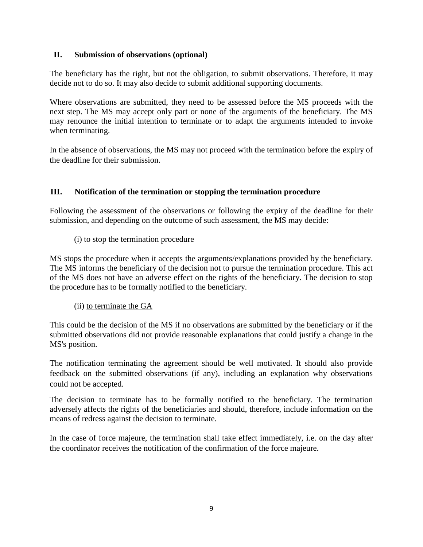#### **II. Submission of observations (optional)**

The beneficiary has the right, but not the obligation, to submit observations. Therefore, it may decide not to do so. It may also decide to submit additional supporting documents.

Where observations are submitted, they need to be assessed before the MS proceeds with the next step. The MS may accept only part or none of the arguments of the beneficiary. The MS may renounce the initial intention to terminate or to adapt the arguments intended to invoke when terminating.

In the absence of observations, the MS may not proceed with the termination before the expiry of the deadline for their submission.

#### **III. Notification of the termination or stopping the termination procedure**

Following the assessment of the observations or following the expiry of the deadline for their submission, and depending on the outcome of such assessment, the MS may decide:

#### (i) to stop the termination procedure

MS stops the procedure when it accepts the arguments/explanations provided by the beneficiary. The MS informs the beneficiary of the decision not to pursue the termination procedure. This act of the MS does not have an adverse effect on the rights of the beneficiary. The decision to stop the procedure has to be formally notified to the beneficiary.

#### (ii) to terminate the GA

This could be the decision of the MS if no observations are submitted by the beneficiary or if the submitted observations did not provide reasonable explanations that could justify a change in the MS's position.

The notification terminating the agreement should be well motivated. It should also provide feedback on the submitted observations (if any), including an explanation why observations could not be accepted.

The decision to terminate has to be formally notified to the beneficiary. The termination adversely affects the rights of the beneficiaries and should, therefore, include information on the means of redress against the decision to terminate.

In the case of force majeure, the termination shall take effect immediately, i.e. on the day after the coordinator receives the notification of the confirmation of the force majeure.